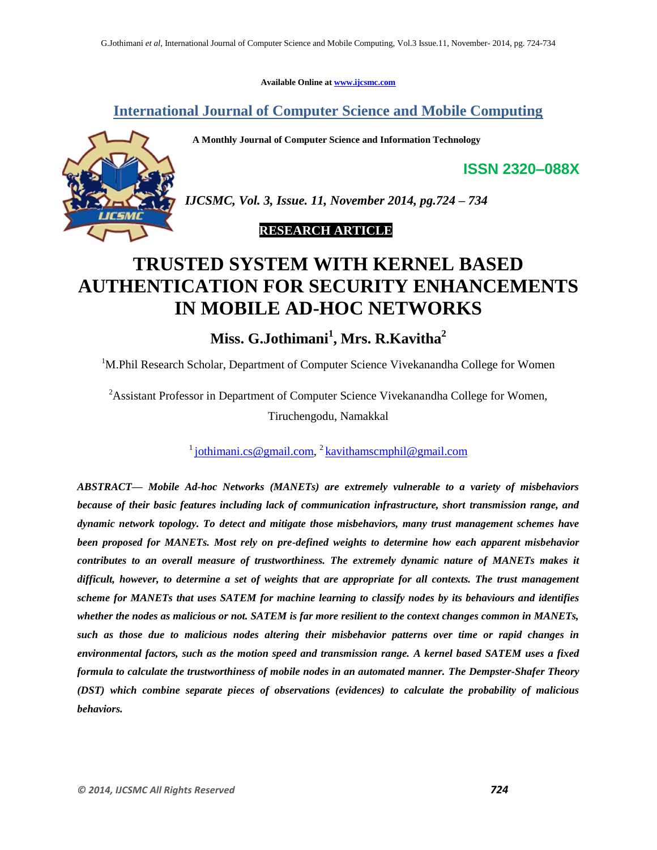**Available Online at www.ijcsmc.com**

**International Journal of Computer Science and Mobile Computing**

 **A Monthly Journal of Computer Science and Information Technology**

*IJCSMC, Vol. 3, Issue. 11, November 2014, pg.724 – 734*

 **RESEARCH ARTICLE**

# **TRUSTED SYSTEM WITH KERNEL BASED AUTHENTICATION FOR SECURITY ENHANCEMENTS IN MOBILE AD-HOC NETWORKS**

**Miss. G.Jothimani<sup>1</sup> , Mrs. R.Kavitha<sup>2</sup>**

<sup>1</sup>M.Phil Research Scholar, Department of Computer Science Vivekanandha College for Women

<sup>2</sup>Assistant Professor in Department of Computer Science Vivekanandha College for Women, Tiruchengodu, Namakkal

<sup>1</sup> jothimani.cs@gmail.com,<sup>2</sup> kavithamscmphil@gmail.com

*ABSTRACT— Mobile Ad-hoc Networks (MANETs) are extremely vulnerable to a variety of misbehaviors because of their basic features including lack of communication infrastructure, short transmission range, and dynamic network topology. To detect and mitigate those misbehaviors, many trust management schemes have been proposed for MANETs. Most rely on pre-defined weights to determine how each apparent misbehavior contributes to an overall measure of trustworthiness. The extremely dynamic nature of MANETs makes it difficult, however, to determine a set of weights that are appropriate for all contexts. The trust management scheme for MANETs that uses SATEM for machine learning to classify nodes by its behaviours and identifies whether the nodes as malicious or not. SATEM is far more resilient to the context changes common in MANETs, such as those due to malicious nodes altering their misbehavior patterns over time or rapid changes in environmental factors, such as the motion speed and transmission range. A kernel based SATEM uses a fixed formula to calculate the trustworthiness of mobile nodes in an automated manner. The Dempster-Shafer Theory (DST) which combine separate pieces of observations (evidences) to calculate the probability of malicious behaviors.*

**ISSN 2320–088X**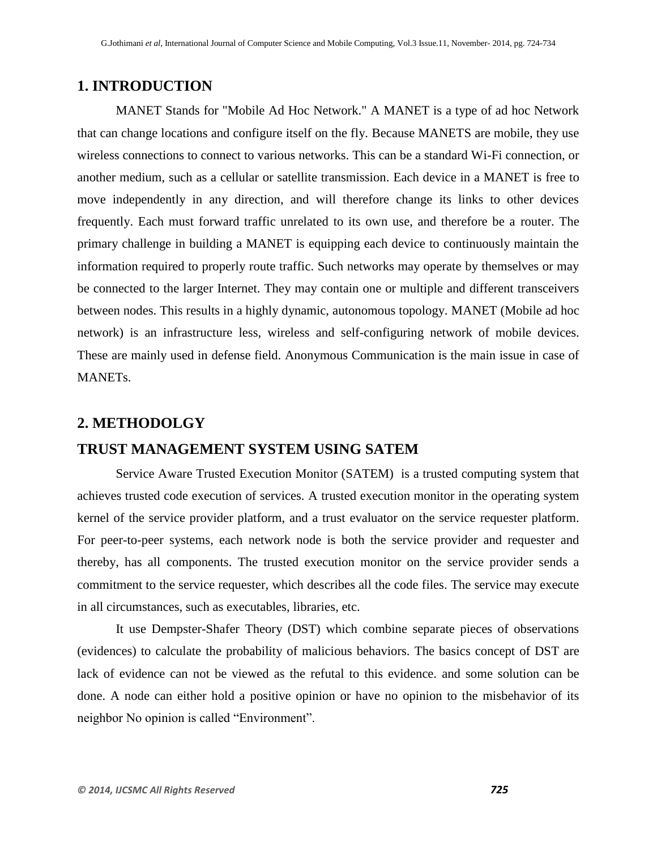# **1. INTRODUCTION**

MANET Stands for "Mobile Ad Hoc Network." A MANET is a type of ad hoc Network that can change locations and configure itself on the fly. Because MANETS are mobile, they use wireless connections to connect to various networks. This can be a standard Wi-Fi connection, or another medium, such as a cellular or satellite transmission. Each device in a MANET is free to move independently in any direction, and will therefore change its links to other devices frequently. Each must forward traffic unrelated to its own use, and therefore be a [router.](http://en.wikipedia.org/wiki/Router_%28computing%29) The primary challenge in building a MANET is equipping each device to continuously maintain the information required to properly route traffic. Such networks may operate by themselves or may be connected to the larger [Internet.](http://en.wikipedia.org/wiki/Internet) They may contain one or multiple and different transceivers between nodes. This results in a highly dynamic, autonomous topology. MANET (Mobile ad hoc network) is an infrastructure less, wireless and self-configuring network of mobile devices. These are mainly used in defense field. Anonymous Communication is the main issue in case of MANETs.

## **2. METHODOLGY**

## **TRUST MANAGEMENT SYSTEM USING SATEM**

Service Aware Trusted Execution Monitor (SATEM) is a trusted computing system that achieves trusted code execution of services. A trusted execution monitor in the operating system kernel of the service provider platform, and a trust evaluator on the service requester platform. For peer-to-peer systems, each network node is both the service provider and requester and thereby, has all components. The trusted execution monitor on the service provider sends a commitment to the service requester, which describes all the code files. The service may execute in all circumstances, such as executables, libraries, etc.

It use Dempster-Shafer Theory (DST) which combine separate pieces of observations (evidences) to calculate the probability of malicious behaviors. The basics concept of DST are lack of evidence can not be viewed as the refutal to this evidence. and some solution can be done. A node can either hold a positive opinion or have no opinion to the misbehavior of its neighbor No opinion is called "Environment".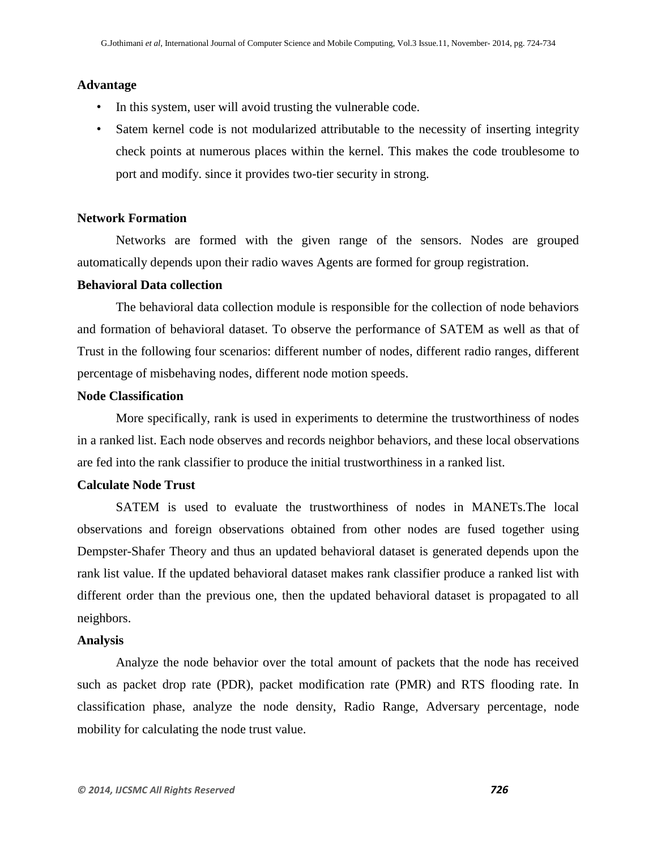#### **Advantage**

- In this system, user will avoid trusting the vulnerable code.
- Satem kernel code is not modularized attributable to the necessity of inserting integrity check points at numerous places within the kernel. This makes the code troublesome to port and modify. since it provides two-tier security in strong.

#### **Network Formation**

Networks are formed with the given range of the sensors. Nodes are grouped automatically depends upon their radio waves Agents are formed for group registration.

## **Behavioral Data collection**

The behavioral data collection module is responsible for the collection of node behaviors and formation of behavioral dataset. To observe the performance of SATEM as well as that of Trust in the following four scenarios: different number of nodes, different radio ranges, different percentage of misbehaving nodes, different node motion speeds.

## **Node Classification**

More specifically, rank is used in experiments to determine the trustworthiness of nodes in a ranked list. Each node observes and records neighbor behaviors, and these local observations are fed into the rank classifier to produce the initial trustworthiness in a ranked list.

## **Calculate Node Trust**

SATEM is used to evaluate the trustworthiness of nodes in MANETs.The local observations and foreign observations obtained from other nodes are fused together using Dempster-Shafer Theory and thus an updated behavioral dataset is generated depends upon the rank list value. If the updated behavioral dataset makes rank classifier produce a ranked list with different order than the previous one, then the updated behavioral dataset is propagated to all neighbors.

#### **Analysis**

Analyze the node behavior over the total amount of packets that the node has received such as packet drop rate (PDR), packet modification rate (PMR) and RTS flooding rate. In classification phase, analyze the node density, Radio Range, Adversary percentage, node mobility for calculating the node trust value.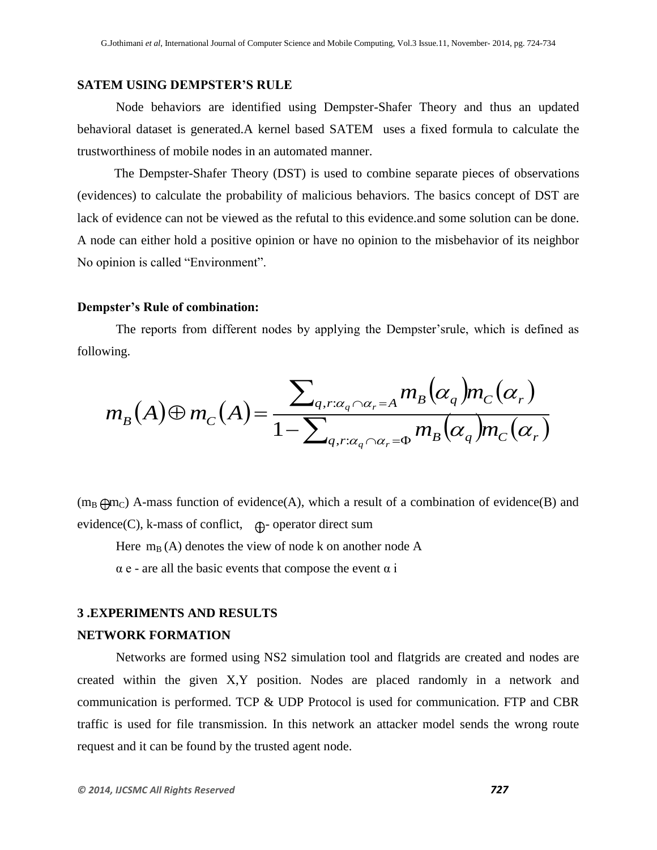## **SATEM USING DEMPSTER'S RULE**

Node behaviors are identified using Dempster-Shafer Theory and thus an updated behavioral dataset is generated.A kernel based SATEM uses a fixed formula to calculate the trustworthiness of mobile nodes in an automated manner.

The Dempster-Shafer Theory (DST) is used to combine separate pieces of observations (evidences) to calculate the probability of malicious behaviors. The basics concept of DST are lack of evidence can not be viewed as the refutal to this evidence.and some solution can be done. A node can either hold a positive opinion or have no opinion to the misbehavior of its neighbor No opinion is called "Environment".

#### **Dempster's Rule of combination:**

The reports from different nodes by applying the Dempster'srule, which is defined as following.

$$
m_B(A) \oplus m_C(A) = \frac{\sum_{q,r:\alpha_q \cap \alpha_r = A} m_B(\alpha_q) m_C(\alpha_r)}{1 - \sum_{q,r:\alpha_q \cap \alpha_r = \Phi} m_B(\alpha_q) m_C(\alpha_r)}
$$

 $(m_B \oplus m_C)$  A-mass function of evidence(A), which a result of a combination of evidence(B) and evidence(C), k-mass of conflict,  $\oplus$ -operator direct sum

Here  $m_B(A)$  denotes the view of node k on another node A

 $\alpha$  e - are all the basic events that compose the event  $\alpha$  i

#### **3 .EXPERIMENTS AND RESULTS**

#### **NETWORK FORMATION**

Networks are formed using NS2 simulation tool and flatgrids are created and nodes are created within the given X,Y position. Nodes are placed randomly in a network and communication is performed. TCP & UDP Protocol is used for communication. FTP and CBR traffic is used for file transmission. In this network an attacker model sends the wrong route request and it can be found by the trusted agent node.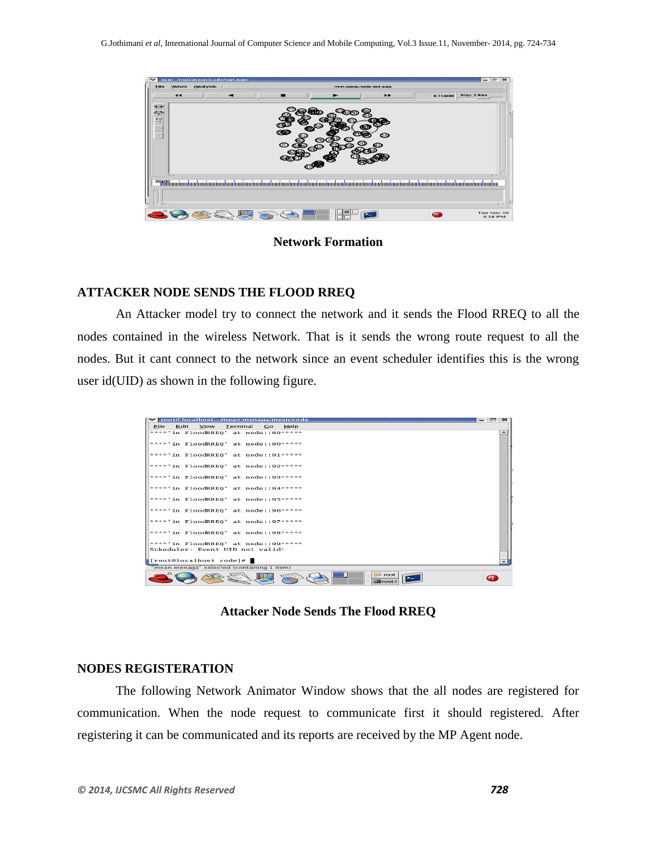

**Network Formation**

## **ATTACKER NODE SENDS THE FLOOD RREQ**

An Attacker model try to connect the network and it sends the Flood RREQ to all the nodes contained in the wireless Network. That is it sends the wrong route request to all the nodes. But it cant connect to the network since an event scheduler identifies this is the wrong user id(UID) as shown in the following figure.

|      | voot@localhost:~/mean-menaga/mean/code               |          |           |      |  |                             |  |  |
|------|------------------------------------------------------|----------|-----------|------|--|-----------------------------|--|--|
| File | Edit View                                            | Terminal | <b>Go</b> | Help |  |                             |  |  |
|      | $****'$ in FloodRREO' at node::89*****               |          |           |      |  |                             |  |  |
|      | ****'in FloodRREO' at node::90*****                  |          |           |      |  |                             |  |  |
|      | $****'$ in FloodRREO' at node::91*****               |          |           |      |  |                             |  |  |
|      | $\left  \text{***' in }$ FloodRREQ' at node::92***** |          |           |      |  |                             |  |  |
|      | $\frac{1}{2}$ ***'in FloodRREO' at node::93*****     |          |           |      |  |                             |  |  |
|      | ****'in FloodRREO' at node::94*****                  |          |           |      |  |                             |  |  |
|      | $****'$ in FloodRREQ' at node::95*****               |          |           |      |  |                             |  |  |
|      | ****'in FloodRREO' at node::96*****                  |          |           |      |  |                             |  |  |
|      | $****'$ in FloodRREO' at node::97*****               |          |           |      |  |                             |  |  |
|      | ****'in FloodRREO' at node::98*****                  |          |           |      |  |                             |  |  |
|      | ****'in FloodRREQ' at node::99*****                  |          |           |      |  |                             |  |  |
|      | Scheduler: Event UID not valid!                      |          |           |      |  |                             |  |  |
|      | [root@localhost code]#                               |          |           |      |  |                             |  |  |
|      | "mean-menaga" selected (containing 1 item)           |          |           |      |  |                             |  |  |
|      |                                                      |          |           |      |  | root<br>$\blacksquare$ root |  |  |

**Attacker Node Sends The Flood RREQ**

## **NODES REGISTERATION**

The following Network Animator Window shows that the all nodes are registered for communication. When the node request to communicate first it should registered. After registering it can be communicated and its reports are received by the MP Agent node.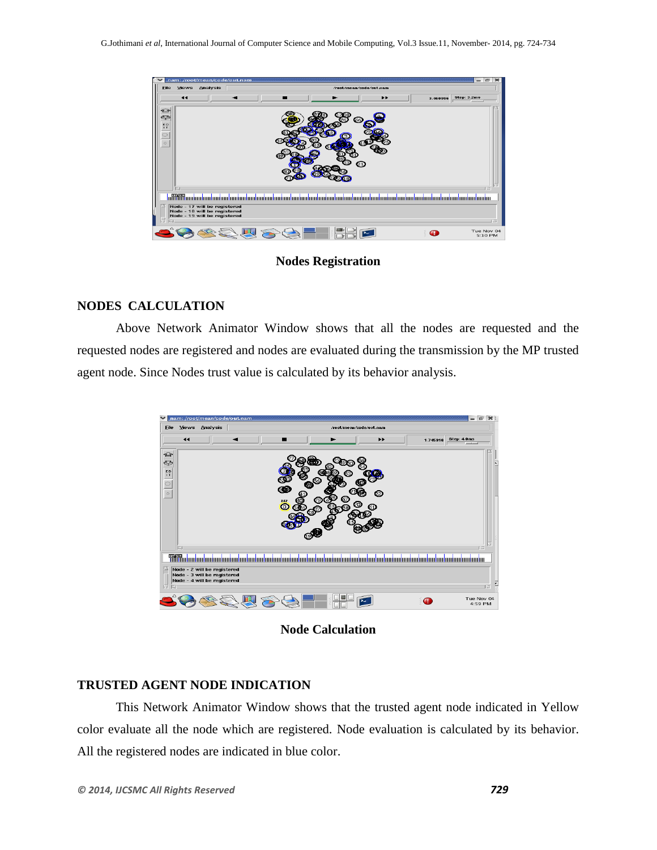|                                          |                      | nam: /root/mean/code/out.nam                                                                 |           |                          |                                                                                                                      |                         |                                          |                            |                                               | 卤<br>$\overline{2}$   |
|------------------------------------------|----------------------|----------------------------------------------------------------------------------------------|-----------|--------------------------|----------------------------------------------------------------------------------------------------------------------|-------------------------|------------------------------------------|----------------------------|-----------------------------------------------|-----------------------|
| <b>File</b>                              | <b>Views</b>         | Analysis                                                                                     |           |                          |                                                                                                                      | /root/mean/code/out.nam |                                          |                            |                                               |                       |
|                                          | $\blacktriangleleft$ |                                                                                              |           |                          |                                                                                                                      |                         | $\blacktriangleright\blacktriangleright$ | 3.460996                   | <b>Step: 3.2ms</b><br>$-1-1$                  |                       |
| ⇔<br>چ€<br>ED<br>$\mathbf{I}$<br>$\circ$ | cз                   |                                                                                              |           |                          |                                                                                                                      | හ<br>©                  |                                          |                            |                                               |                       |
|                                          | <b>MARKARE</b>       |                                                                                              | IIIIIIIII | <b>TILLE OF BUILDING</b> | <u>na mana kaominin'i Parlamentana ao amin'ny fivondronan-dehiberan'i Communistration no ben'ny faritr'i Nord-Am</u> |                         | Ш                                        | a <mark>mumi mumi m</mark> | <u>ini imami mami mami mami mami mami mam</u> |                       |
|                                          |                      | Node - 17 will be registered<br>Node - 18 will be registered<br>Node - 19 will be registered |           |                          |                                                                                                                      |                         |                                          |                            |                                               | 1157                  |
|                                          |                      |                                                                                              |           |                          |                                                                                                                      |                         |                                          | m,                         |                                               | Tue Nov 04<br>5:10 PM |

**Nodes Registration**

## **NODES CALCULATION**

Above Network Animator Window shows that all the nodes are requested and the requested nodes are registered and nodes are evaluated during the transmission by the MP trusted agent node. Since Nodes trust value is calculated by its behavior analysis.

| File                                  | views                | Analysis                                                                                  |  |                   |                  | /root/mean/code/out.nam        |    |                                                                                                                                                    |                       |                       |
|---------------------------------------|----------------------|-------------------------------------------------------------------------------------------|--|-------------------|------------------|--------------------------------|----|----------------------------------------------------------------------------------------------------------------------------------------------------|-----------------------|-----------------------|
|                                       | $\blacktriangleleft$ |                                                                                           |  |                   |                  |                                | ▶▶ | 1.745916                                                                                                                                           | Step: 4.0ms<br>$-1-1$ |                       |
| ఆ<br>☜<br>$E_{T}^{D}$<br>n<br>$\circ$ | GT.                  |                                                                                           |  | Ø<br>œ<br>MP<br>О | 66<br>79<br>್ಯೂಲ | 53)<br>67,<br>ĆО<br>61)<br>58. | 62 |                                                                                                                                                    |                       |                       |
|                                       |                      |                                                                                           |  |                   |                  |                                |    | a a a a a chuidheacha a ba chuidheacha a ba chuidheacha a ba chuadha a ba chuadha a ba chuadha a ba chuadha a ba chuadha a ba chuadha a ba chuadha |                       |                       |
| ा                                     |                      | Node - 2 will be registered<br>Node - 3 will be registered<br>Node - 4 will be registered |  |                   |                  |                                |    |                                                                                                                                                    |                       | īΞ                    |
|                                       |                      |                                                                                           |  |                   |                  |                                |    |                                                                                                                                                    |                       | Tue Nov 04<br>4:59 PM |

**Node Calculation**

## **TRUSTED AGENT NODE INDICATION**

This Network Animator Window shows that the trusted agent node indicated in Yellow color evaluate all the node which are registered. Node evaluation is calculated by its behavior. All the registered nodes are indicated in blue color.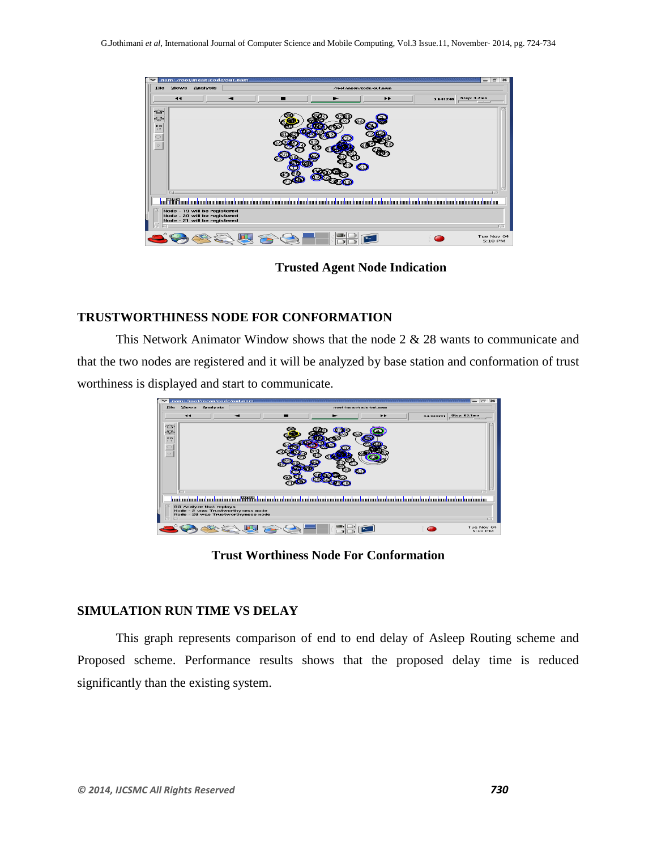

**Trusted Agent Node Indication**

# **TRUSTWORTHINESS NODE FOR CONFORMATION**

This Network Animator Window shows that the node 2 & 28 wants to communicate and that the two nodes are registered and it will be analyzed by base station and conformation of trust worthiness is displayed and start to communicate.



**Trust Worthiness Node For Conformation**

# **SIMULATION RUN TIME VS DELAY**

This graph represents comparison of end to end delay of Asleep Routing scheme and Proposed scheme. Performance results shows that the proposed delay time is reduced significantly than the existing system.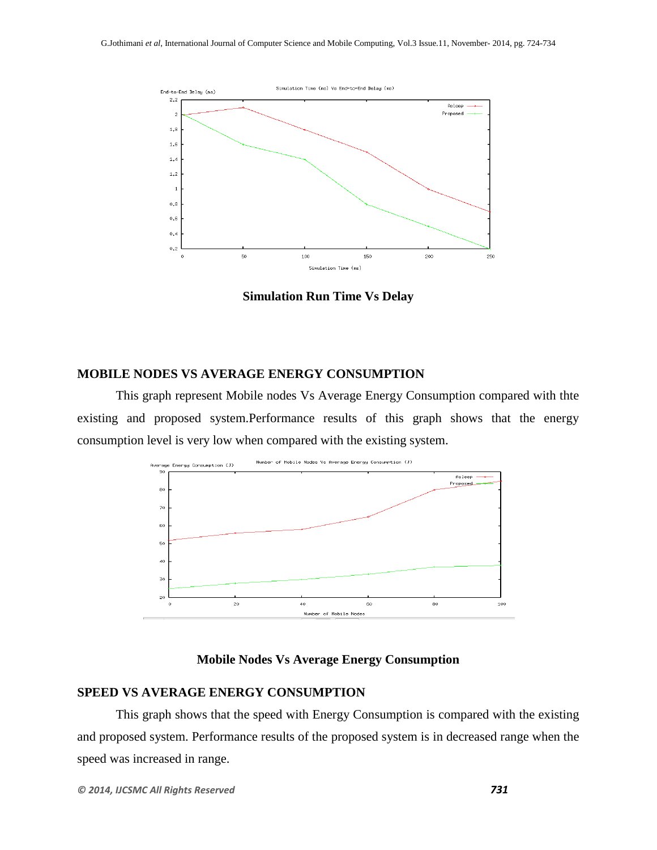

**Simulation Run Time Vs Delay**

### **MOBILE NODES VS AVERAGE ENERGY CONSUMPTION**

This graph represent Mobile nodes Vs Average Energy Consumption compared with thte existing and proposed system.Performance results of this graph shows that the energy consumption level is very low when compared with the existing system.



#### **Mobile Nodes Vs Average Energy Consumption**

#### **SPEED VS AVERAGE ENERGY CONSUMPTION**

This graph shows that the speed with Energy Consumption is compared with the existing and proposed system. Performance results of the proposed system is in decreased range when the speed was increased in range.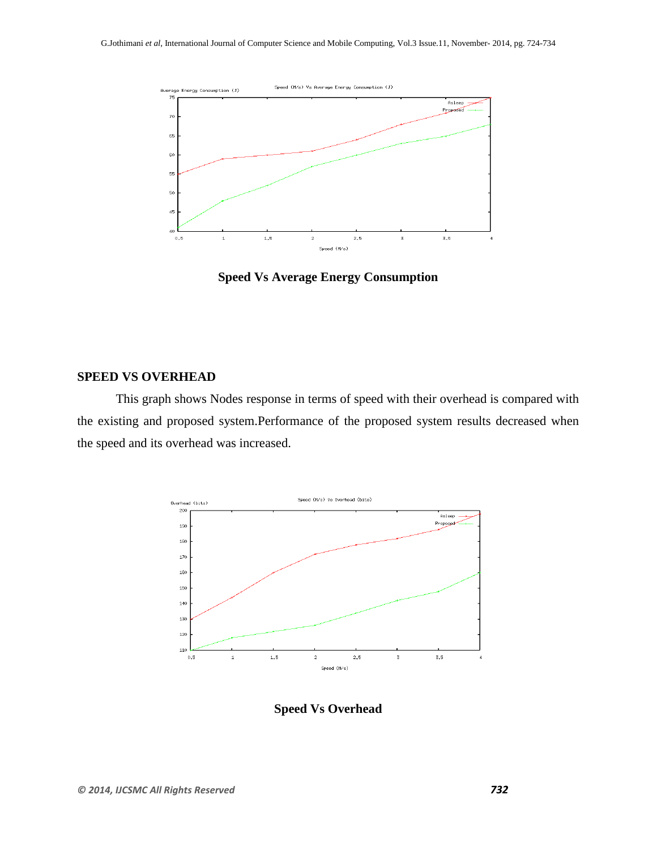

**Speed Vs Average Energy Consumption**

#### **SPEED VS OVERHEAD**

This graph shows Nodes response in terms of speed with their overhead is compared with the existing and proposed system.Performance of the proposed system results decreased when the speed and its overhead was increased.



**Speed Vs Overhead**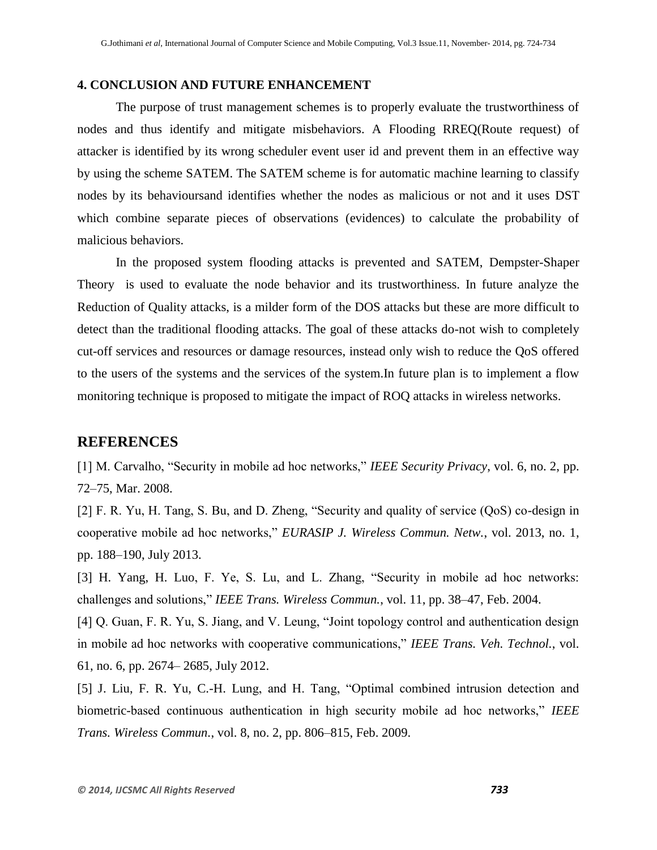#### **4. CONCLUSION AND FUTURE ENHANCEMENT**

The purpose of trust management schemes is to properly evaluate the trustworthiness of nodes and thus identify and mitigate misbehaviors. A Flooding RREQ(Route request) of attacker is identified by its wrong scheduler event user id and prevent them in an effective way by using the scheme SATEM. The SATEM scheme is for automatic machine learning to classify nodes by its behavioursand identifies whether the nodes as malicious or not and it uses DST which combine separate pieces of observations (evidences) to calculate the probability of malicious behaviors.

In the proposed system flooding attacks is prevented and SATEM, Dempster-Shaper Theory is used to evaluate the node behavior and its trustworthiness. In future analyze the Reduction of Quality attacks, is a milder form of the DOS attacks but these are more difficult to detect than the traditional flooding attacks. The goal of these attacks do-not wish to completely cut-off services and resources or damage resources, instead only wish to reduce the QoS offered to the users of the systems and the services of the system.In future plan is to implement a flow monitoring technique is proposed to mitigate the impact of ROQ attacks in wireless networks.

## **REFERENCES**

[1] M. Carvalho, "Security in mobile ad hoc networks," *IEEE Security Privacy*, vol. 6, no. 2, pp. 72–75, Mar. 2008.

[2] F. R. Yu, H. Tang, S. Bu, and D. Zheng, "Security and quality of service (QoS) co-design in cooperative mobile ad hoc networks," *EURASIP J. Wireless Commun. Netw.*, vol. 2013, no. 1, pp. 188–190, July 2013.

[3] H. Yang, H. Luo, F. Ye, S. Lu, and L. Zhang, "Security in mobile ad hoc networks: challenges and solutions," *IEEE Trans. Wireless Commun.*, vol. 11, pp. 38–47, Feb. 2004.

[4] Q. Guan, F. R. Yu, S. Jiang, and V. Leung, "Joint topology control and authentication design in mobile ad hoc networks with cooperative communications," *IEEE Trans. Veh. Technol.*, vol. 61, no. 6, pp. 2674– 2685, July 2012.

[5] J. Liu, F. R. Yu, C.-H. Lung, and H. Tang, "Optimal combined intrusion detection and biometric-based continuous authentication in high security mobile ad hoc networks," *IEEE Trans. Wireless Commun.*, vol. 8, no. 2, pp. 806–815, Feb. 2009.